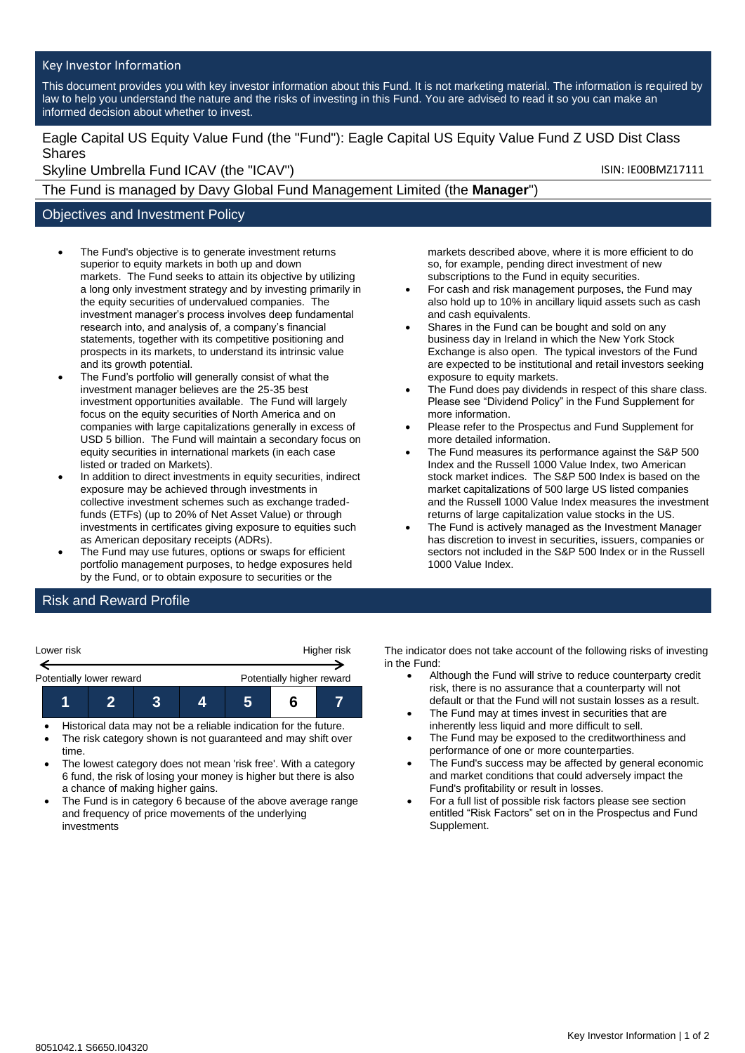#### Key Investor Information

This document provides you with key investor information about this Fund. It is not marketing material. The information is required by law to help you understand the nature and the risks of investing in this Fund. You are advised to read it so you can make an informed decision about whether to invest.

Eagle Capital US Equity Value Fund (the "Fund"): Eagle Capital US Equity Value Fund Z USD Dist Class Shares

Skyline Umbrella Fund ICAV (the "ICAV") Skyline Umbrella Fund ICAV (the "ICAV")

The Fund is managed by Davy Global Fund Management Limited (the **Manager**")

### Objectives and Investment Policy

- The Fund's objective is to generate investment returns superior to equity markets in both up and down markets. The Fund seeks to attain its objective by utilizing a long only investment strategy and by investing primarily in the equity securities of undervalued companies. The investment manager's process involves deep fundamental research into, and analysis of, a company's financial statements, together with its competitive positioning and prospects in its markets, to understand its intrinsic value and its growth potential.
- The Fund's portfolio will generally consist of what the investment manager believes are the 25-35 best investment opportunities available. The Fund will largely focus on the equity securities of North America and on companies with large capitalizations generally in excess of USD 5 billion. The Fund will maintain a secondary focus on equity securities in international markets (in each case listed or traded on Markets).
- In addition to direct investments in equity securities, indirect exposure may be achieved through investments in collective investment schemes such as exchange tradedfunds (ETFs) (up to 20% of Net Asset Value) or through investments in certificates giving exposure to equities such as American depositary receipts (ADRs).
- The Fund may use futures, options or swaps for efficient portfolio management purposes, to hedge exposures held by the Fund, or to obtain exposure to securities or the

markets described above, where it is more efficient to do so, for example, pending direct investment of new subscriptions to the Fund in equity securities.

- For cash and risk management purposes, the Fund may also hold up to 10% in ancillary liquid assets such as cash and cash equivalents.
- Shares in the Fund can be bought and sold on any business day in Ireland in which the New York Stock Exchange is also open. The typical investors of the Fund are expected to be institutional and retail investors seeking exposure to equity markets.
- The Fund does pay dividends in respect of this share class. Please see "Dividend Policy" in the Fund Supplement for more information.
- Please refer to the Prospectus and Fund Supplement for more detailed information.
- The Fund measures its performance against the S&P 500 Index and the Russell 1000 Value Index, two American stock market indices. The S&P 500 Index is based on the market capitalizations of 500 large US listed companies and the Russell 1000 Value Index measures the investment returns of large capitalization value stocks in the US.
- The Fund is actively managed as the Investment Manager has discretion to invest in securities, issuers, companies or sectors not included in the S&P 500 Index or in the Russell 1000 Value Index.

# Risk and Reward Profile

| Lower risk               |  |  |  | Higher risk               |  |  |
|--------------------------|--|--|--|---------------------------|--|--|
| Potentially lower reward |  |  |  | Potentially higher reward |  |  |
|                          |  |  |  |                           |  |  |

- Historical data may not be a reliable indication for the future.
- The risk category shown is not guaranteed and may shift over time.
- The lowest category does not mean 'risk free'. With a category 6 fund, the risk of losing your money is higher but there is also a chance of making higher gains.
- The Fund is in category 6 because of the above average range and frequency of price movements of the underlying investments

The indicator does not take account of the following risks of investing in the Fund:

- Although the Fund will strive to reduce counterparty credit risk, there is no assurance that a counterparty will not default or that the Fund will not sustain losses as a result.
- The Fund may at times invest in securities that are inherently less liquid and more difficult to sell.
- The Fund may be exposed to the creditworthiness and performance of one or more counterparties.
- The Fund's success may be affected by general economic and market conditions that could adversely impact the Fund's profitability or result in losses.
- For a full list of possible risk factors please see section entitled "Risk Factors" set on in the Prospectus and Fund Supplement.